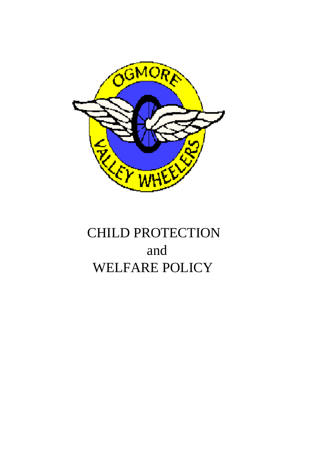

# CHILD PROTECTION and WELFARE POLICY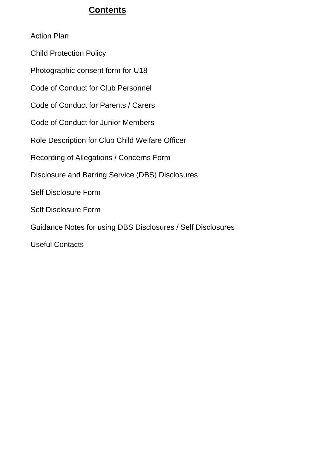# **Contents**

Action Plan

Child Protection Policy

Photographic consent form for U18

Code of Conduct for Club Personnel

Code of Conduct for Parents / Carers

Code of Conduct for Junior Members

Role Description for Club Child Welfare Officer

Recording of Allegations / Concerns Form

Disclosure and Barring Service (DBS) Disclosures

Self Disclosure Form

Self Disclosure Form

Guidance Notes for using DBS Disclosures / Self Disclosures

Useful Contacts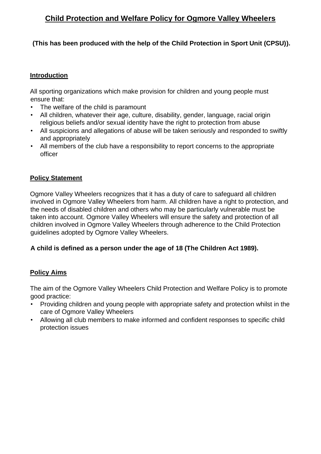# **Child Protection and Welfare Policy for Ogmore Valley Wheelers**

## **(This has been produced with the help of the Child Protection in Sport Unit (CPSU)).**

#### **Introduction**

All sporting organizations which make provision for children and young people must ensure that:

- The welfare of the child is paramount
- All children, whatever their age, culture, disability, gender, language, racial origin religious beliefs and/or sexual identity have the right to protection from abuse
- All suspicions and allegations of abuse will be taken seriously and responded to swiftly and appropriately
- All members of the club have a responsibility to report concerns to the appropriate officer

## **Policy Statement**

Ogmore Valley Wheelers recognizes that it has a duty of care to safeguard all children involved in Ogmore Valley Wheelers from harm. All children have a right to protection, and the needs of disabled children and others who may be particularly vulnerable must be taken into account. Ogmore Valley Wheelers will ensure the safety and protection of all children involved in Ogmore Valley Wheelers through adherence to the Child Protection guidelines adopted by Ogmore Valley Wheelers.

## **A child is defined as a person under the age of 18 (The Children Act 1989).**

## **Policy Aims**

The aim of the Ogmore Valley Wheelers Child Protection and Welfare Policy is to promote good practice:

- Providing children and young people with appropriate safety and protection whilst in the care of Ogmore Valley Wheelers
- Allowing all club members to make informed and confident responses to specific child protection issues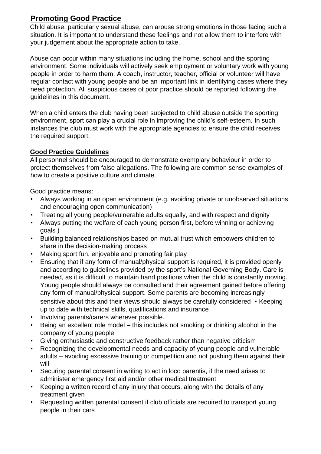# **Promoting Good Practice**

Child abuse, particularly sexual abuse, can arouse strong emotions in those facing such a situation. It is important to understand these feelings and not allow them to interfere with your judgement about the appropriate action to take.

Abuse can occur within many situations including the home, school and the sporting environment. Some individuals will actively seek employment or voluntary work with young people in order to harm them. A coach, instructor, teacher, official or volunteer will have regular contact with young people and be an important link in identifying cases where they need protection. All suspicious cases of poor practice should be reported following the guidelines in this document.

When a child enters the club having been subjected to child abuse outside the sporting environment, sport can play a crucial role in improving the child's self-esteem. In such instances the club must work with the appropriate agencies to ensure the child receives the required support.

## **Good Practice Guidelines**

All personnel should be encouraged to demonstrate exemplary behaviour in order to protect themselves from false allegations. The following are common sense examples of how to create a positive culture and climate.

Good practice means:

- Always working in an open environment (e.g. avoiding private or unobserved situations and encouraging open communication)
- Treating all young people/vulnerable adults equally, and with respect and dignity
- Always putting the welfare of each young person first, before winning or achieving goals )
- Building balanced relationships based on mutual trust which empowers children to share in the decision-making process
- Making sport fun, enjoyable and promoting fair play
- Ensuring that if any form of manual/physical support is required, it is provided openly and according to guidelines provided by the sport's National Governing Body. Care is needed, as it is difficult to maintain hand positions when the child is constantly moving. Young people should always be consulted and their agreement gained before offering any form of manual/physical support. Some parents are becoming increasingly sensitive about this and their views should always be carefully considered • Keeping up to date with technical skills, qualifications and insurance
- Involving parents/carers wherever possible.
- Being an excellent role model this includes not smoking or drinking alcohol in the company of young people
- Giving enthusiastic and constructive feedback rather than negative criticism
- Recognizing the developmental needs and capacity of young people and vulnerable adults – avoiding excessive training or competition and not pushing them against their will
- Securing parental consent in writing to act in loco parentis, if the need arises to administer emergency first aid and/or other medical treatment
- Keeping a written record of any injury that occurs, along with the details of any treatment given
- Requesting written parental consent if club officials are required to transport young people in their cars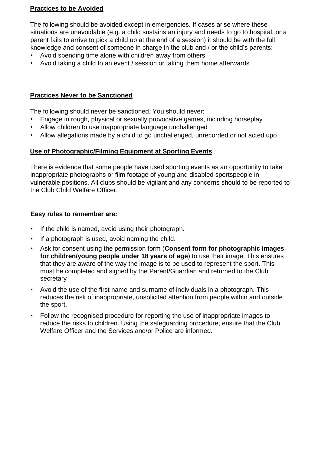#### **Practices to be Avoided**

The following should be avoided except in emergencies. If cases arise where these situations are unavoidable (e.g. a child sustains an injury and needs to go to hospital, or a parent fails to arrive to pick a child up at the end of a session) it should be with the full knowledge and consent of someone in charge in the club and / or the child's parents:

- Avoid spending time alone with children away from others
- Avoid taking a child to an event / session or taking them home afterwards

## **Practices Never to be Sanctioned**

The following should never be sanctioned. You should never:

- Engage in rough, physical or sexually provocative games, including horseplay
- Allow children to use inappropriate language unchallenged
- Allow allegations made by a child to go unchallenged, unrecorded or not acted upo

## **Use of Photographic/Filming Equipment at Sporting Events**

There is evidence that some people have used sporting events as an opportunity to take inappropriate photographs or film footage of young and disabled sportspeople in vulnerable positions. All clubs should be vigilant and any concerns should to be reported to the Club Child Welfare Officer.

## **Easy rules to remember are:**

- If the child is named, avoid using their photograph.
- If a photograph is used, avoid naming the child.
- Ask for consent using the permission form (**Consent form for photographic images for children/young people under 18 years of age**) to use their image. This ensures that they are aware of the way the image is to be used to represent the sport. This must be completed and signed by the Parent/Guardian and returned to the Club secretary
- Avoid the use of the first name and surname of individuals in a photograph. This reduces the risk of inappropriate, unsolicited attention from people within and outside the sport.
- Follow the recognised procedure for reporting the use of inappropriate images to reduce the risks to children. Using the safeguarding procedure, ensure that the Club Welfare Officer and the Services and/or Police are informed.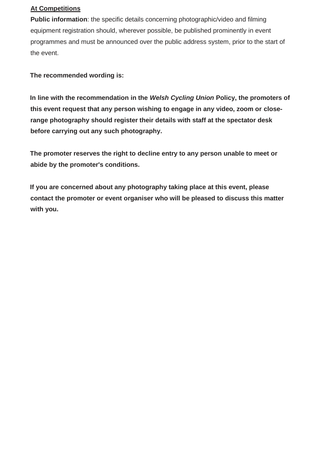## **At Competitions**

**Public information**: the specific details concerning photographic/video and filming equipment registration should, wherever possible, be published prominently in event programmes and must be announced over the public address system, prior to the start of the event.

**The recommended wording is:** 

**In line with the recommendation in the** *Welsh Cycling Union* **Policy, the promoters of this event request that any person wishing to engage in any video, zoom or closerange photography should register their details with staff at the spectator desk before carrying out any such photography.** 

**The promoter reserves the right to decline entry to any person unable to meet or abide by the promoter's conditions.** 

**If you are concerned about any photography taking place at this event, please contact the promoter or event organiser who will be pleased to discuss this matter with you.**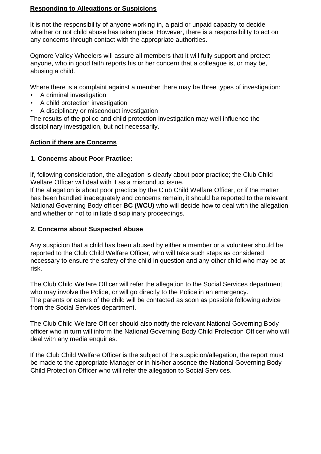#### **Responding to Allegations or Suspicions**

It is not the responsibility of anyone working in, a paid or unpaid capacity to decide whether or not child abuse has taken place. However, there is a responsibility to act on any concerns through contact with the appropriate authorities.

Ogmore Valley Wheelers will assure all members that it will fully support and protect anyone, who in good faith reports his or her concern that a colleague is, or may be, abusing a child.

Where there is a complaint against a member there may be three types of investigation:

- A criminal investigation
- A child protection investigation
- A disciplinary or misconduct investigation

The results of the police and child protection investigation may well influence the disciplinary investigation, but not necessarily.

#### **Action if there are Concerns**

#### **1. Concerns about Poor Practice:**

If, following consideration, the allegation is clearly about poor practice; the Club Child Welfare Officer will deal with it as a misconduct issue.

If the allegation is about poor practice by the Club Child Welfare Officer, or if the matter has been handled inadequately and concerns remain, it should be reported to the relevant National Governing Body officer **BC (WCU)** who will decide how to deal with the allegation and whether or not to initiate disciplinary proceedings.

## **2. Concerns about Suspected Abuse**

Any suspicion that a child has been abused by either a member or a volunteer should be reported to the Club Child Welfare Officer, who will take such steps as considered necessary to ensure the safety of the child in question and any other child who may be at risk.

The Club Child Welfare Officer will refer the allegation to the Social Services department who may involve the Police, or will go directly to the Police in an emergency. The parents or carers of the child will be contacted as soon as possible following advice from the Social Services department.

The Club Child Welfare Officer should also notify the relevant National Governing Body officer who in turn will inform the National Governing Body Child Protection Officer who will deal with any media enquiries.

If the Club Child Welfare Officer is the subject of the suspicion/allegation, the report must be made to the appropriate Manager or in his/her absence the National Governing Body Child Protection Officer who will refer the allegation to Social Services.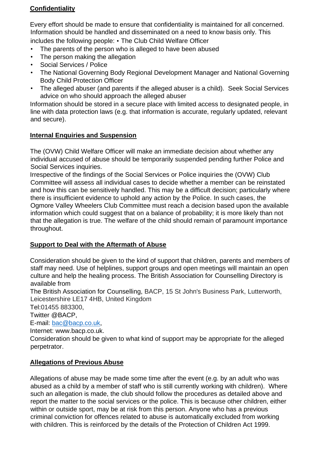## **Confidentiality**

Every effort should be made to ensure that confidentiality is maintained for all concerned. Information should be handled and disseminated on a need to know basis only. This includes the following people: • The Club Child Welfare Officer

- The parents of the person who is alleged to have been abused
- The person making the allegation
- Social Services / Police
- The National Governing Body Regional Development Manager and National Governing Body Child Protection Officer
- The alleged abuser (and parents if the alleged abuser is a child). Seek Social Services advice on who should approach the alleged abuser

Information should be stored in a secure place with limited access to designated people, in line with data protection laws (e.g. that information is accurate, regularly updated, relevant and secure).

## **Internal Enquiries and Suspension**

The (OVW) Child Welfare Officer will make an immediate decision about whether any individual accused of abuse should be temporarily suspended pending further Police and Social Services inquiries.

Irrespective of the findings of the Social Services or Police inquiries the (OVW) Club Committee will assess all individual cases to decide whether a member can be reinstated and how this can be sensitively handled. This may be a difficult decision; particularly where there is insufficient evidence to uphold any action by the Police. In such cases, the Ogmore Valley Wheelers Club Committee must reach a decision based upon the available information which could suggest that on a balance of probability; it is more likely than not that the allegation is true. The welfare of the child should remain of paramount importance throughout.

## **Support to Deal with the Aftermath of Abuse**

Consideration should be given to the kind of support that children, parents and members of staff may need. Use of helplines, support groups and open meetings will maintain an open culture and help the healing process. The British Association for Counselling Directory is available from

The British Association for Counselling, BACP, 15 St John's Business Park, Lutterworth, Leicestershire LE17 4HB, United Kingdom

Tel:01455 883300,

Twitter @BACP,

E-mail: [bac@bacp.co.uk,](mailto:bac@bacp.co.uk)

Internet: www.bacp.co.uk.

Consideration should be given to what kind of support may be appropriate for the alleged perpetrator.

## **Allegations of Previous Abuse**

Allegations of abuse may be made some time after the event (e.g. by an adult who was abused as a child by a member of staff who is still currently working with children). Where such an allegation is made, the club should follow the procedures as detailed above and report the matter to the social services or the police. This is because other children, either within or outside sport, may be at risk from this person. Anyone who has a previous criminal conviction for offences related to abuse is automatically excluded from working with children. This is reinforced by the details of the Protection of Children Act 1999.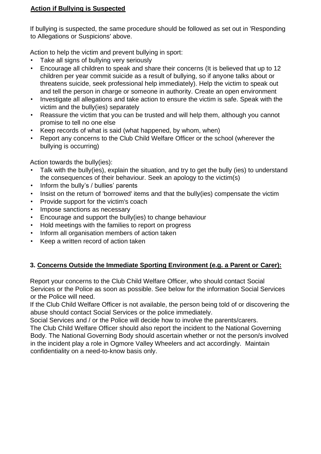## **Action if Bullying is Suspected**

If bullying is suspected, the same procedure should be followed as set out in 'Responding to Allegations or Suspicions' above.

Action to help the victim and prevent bullying in sport:

- Take all signs of bullying very seriously
- Encourage all children to speak and share their concerns (It is believed that up to 12 children per year commit suicide as a result of bullying, so if anyone talks about or threatens suicide, seek professional help immediately). Help the victim to speak out and tell the person in charge or someone in authority. Create an open environment
- Investigate all allegations and take action to ensure the victim is safe. Speak with the victim and the bully(ies) separately
- Reassure the victim that you can be trusted and will help them, although you cannot promise to tell no one else
- Keep records of what is said (what happened, by whom, when)
- Report any concerns to the Club Child Welfare Officer or the school (wherever the bullying is occurring)

Action towards the bully(ies):

- Talk with the bully(ies), explain the situation, and try to get the bully (ies) to understand the consequences of their behaviour. Seek an apology to the victim(s)
- Inform the bully's / bullies' parents
- Insist on the return of 'borrowed' items and that the bully(ies) compensate the victim
- Provide support for the victim's coach
- Impose sanctions as necessary
- Encourage and support the bully(ies) to change behaviour
- Hold meetings with the families to report on progress
- Inform all organisation members of action taken
- Keep a written record of action taken

## **3. Concerns Outside the Immediate Sporting Environment (e.g. a Parent or Carer):**

Report your concerns to the Club Child Welfare Officer, who should contact Social Services or the Police as soon as possible. See below for the information Social Services or the Police will need.

If the Club Child Welfare Officer is not available, the person being told of or discovering the abuse should contact Social Services or the police immediately.

Social Services and / or the Police will decide how to involve the parents/carers. The Club Child Welfare Officer should also report the incident to the National Governing Body. The National Governing Body should ascertain whether or not the person/s involved in the incident play a role in Ogmore Valley Wheelers and act accordingly. Maintain confidentiality on a need-to-know basis only.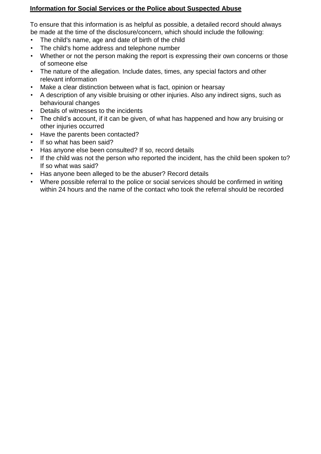## **Information for Social Services or the Police about Suspected Abuse**

To ensure that this information is as helpful as possible, a detailed record should always be made at the time of the disclosure/concern, which should include the following:

- The child's name, age and date of birth of the child
- The child's home address and telephone number
- Whether or not the person making the report is expressing their own concerns or those of someone else
- The nature of the allegation. Include dates, times, any special factors and other relevant information
- Make a clear distinction between what is fact, opinion or hearsay
- A description of any visible bruising or other injuries. Also any indirect signs, such as behavioural changes
- Details of witnesses to the incidents
- The child's account, if it can be given, of what has happened and how any bruising or other injuries occurred
- Have the parents been contacted?
- If so what has been said?
- Has anyone else been consulted? If so, record details
- If the child was not the person who reported the incident, has the child been spoken to? If so what was said?
- Has anyone been alleged to be the abuser? Record details
- Where possible referral to the police or social services should be confirmed in writing within 24 hours and the name of the contact who took the referral should be recorded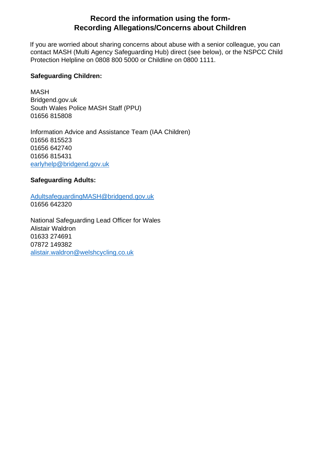## **Record the information using the form-Recording Allegations/Concerns about Children**

If you are worried about sharing concerns about abuse with a senior colleague, you can contact MASH (Multi Agency Safeguarding Hub) direct (see below), or the NSPCC Child Protection Helpline on 0808 800 5000 or Childline on 0800 1111.

#### **Safeguarding Children:**

MASH Bridgend.gov.uk South Wales Police MASH Staff (PPU) 01656 815808

Information Advice and Assistance Team (IAA Children) 01656 815523 01656 642740 01656 815431 [earlyhelp@bridgend.gov.uk](mailto:earlyhelp@bridgend.gov.uk)

## **Safeguarding Adults:**

[AdultsafeguardingMASH@bridgend.gov.uk](mailto:AdultsafeguardingMASH@bridgend.gov.uk) 01656 642320

National Safeguarding Lead Officer for Wales Alistair Waldron 01633 274691 07872 149382 [alistair.waldron@welshcycling.co.uk](mailto:alistair.waldron@welshcycling.co.uk)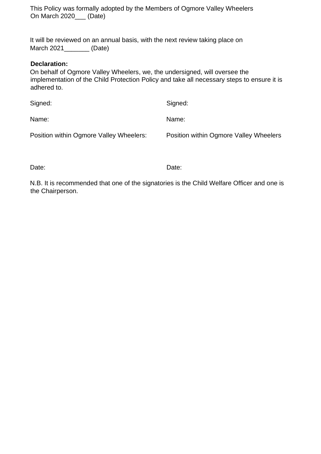This Policy was formally adopted by the Members of Ogmore Valley Wheelers On March 2020 (Date)

It will be reviewed on an annual basis, with the next review taking place on March 2021 (Date)

#### **Declaration:**

On behalf of Ogmore Valley Wheelers, we, the undersigned, will oversee the implementation of the Child Protection Policy and take all necessary steps to ensure it is adhered to.

| Signed:                                 | Signed:                                |
|-----------------------------------------|----------------------------------------|
| Name:                                   | Name:                                  |
| Position within Ogmore Valley Wheelers: | Position within Ogmore Valley Wheelers |

Date: **Date:** Date: **Date: Date: Date: Date:** 

N.B. It is recommended that one of the signatories is the Child Welfare Officer and one is the Chairperson.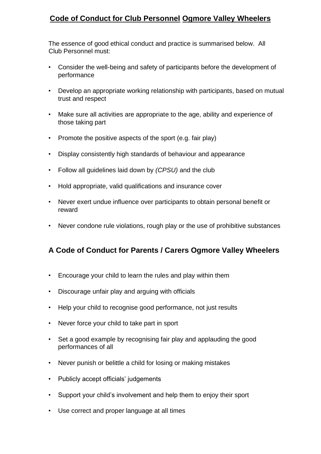# **Code of Conduct for Club Personnel Ogmore Valley Wheelers**

The essence of good ethical conduct and practice is summarised below. All Club Personnel must:

- Consider the well-being and safety of participants before the development of performance
- Develop an appropriate working relationship with participants, based on mutual trust and respect
- Make sure all activities are appropriate to the age, ability and experience of those taking part
- Promote the positive aspects of the sport (e.g. fair play)
- Display consistently high standards of behaviour and appearance
- Follow all guidelines laid down by *(CPSU)* and the club
- Hold appropriate, valid qualifications and insurance cover
- Never exert undue influence over participants to obtain personal benefit or reward
- Never condone rule violations, rough play or the use of prohibitive substances

## **A Code of Conduct for Parents / Carers Ogmore Valley Wheelers**

- Encourage your child to learn the rules and play within them
- Discourage unfair play and arguing with officials
- Help your child to recognise good performance, not just results
- Never force your child to take part in sport
- Set a good example by recognising fair play and applauding the good performances of all
- Never punish or belittle a child for losing or making mistakes
- Publicly accept officials' judgements
- Support your child's involvement and help them to enjoy their sport
- Use correct and proper language at all times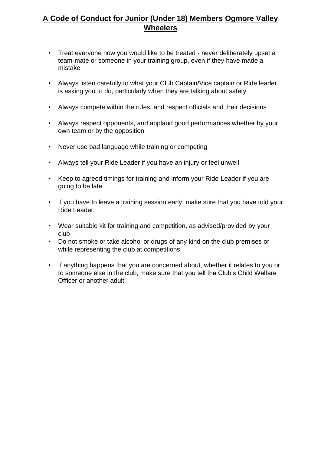# **A Code of Conduct for Junior (Under 18) Members Ogmore Valley Wheelers**

- Treat everyone how you would like to be treated never deliberately upset a team-mate or someone in your training group, even if they have made a mistake
- Always listen carefully to what your Club Captain/Vice captain or Ride leader is asking you to do, particularly when they are talking about safety
- Always compete within the rules, and respect officials and their decisions
- Always respect opponents, and applaud good performances whether by your own team or by the opposition
- Never use bad language while training or competing
- Always tell your Ride Leader if you have an injury or feel unwell
- Keep to agreed timings for training and inform your Ride Leader if you are going to be late
- If you have to leave a training session early, make sure that you have told your Ride Leader.
- Wear suitable kit for training and competition, as advised/provided by your club
- Do not smoke or take alcohol or drugs of any kind on the club premises or while representing the club at competitions
- If anything happens that you are concerned about, whether it relates to you or to someone else in the club, make sure that you tell the Club's Child Welfare Officer or another adult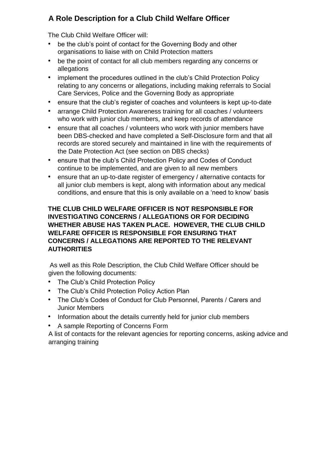# **A Role Description for a Club Child Welfare Officer**

The Club Child Welfare Officer will:

- be the club's point of contact for the Governing Body and other organisations to liaise with on Child Protection matters
- be the point of contact for all club members regarding any concerns or allegations
- implement the procedures outlined in the club's Child Protection Policy relating to any concerns or allegations, including making referrals to Social Care Services, Police and the Governing Body as appropriate
- ensure that the club's register of coaches and volunteers is kept up-to-date
- arrange Child Protection Awareness training for all coaches / volunteers who work with junior club members, and keep records of attendance
- ensure that all coaches / volunteers who work with junior members have been DBS-checked and have completed a Self-Disclosure form and that all records are stored securely and maintained in line with the requirements of the Date Protection Act (see section on DBS checks)
- ensure that the club's Child Protection Policy and Codes of Conduct continue to be implemented, and are given to all new members
- ensure that an up-to-date register of emergency / alternative contacts for all junior club members is kept, along with information about any medical conditions, and ensure that this is only available on a 'need to know' basis

## **THE CLUB CHILD WELFARE OFFICER IS NOT RESPONSIBLE FOR INVESTIGATING CONCERNS / ALLEGATIONS OR FOR DECIDING WHETHER ABUSE HAS TAKEN PLACE. HOWEVER, THE CLUB CHILD WELFARE OFFICER IS RESPONSIBLE FOR ENSURING THAT CONCERNS / ALLEGATIONS ARE REPORTED TO THE RELEVANT AUTHORITIES**

As well as this Role Description, the Club Child Welfare Officer should be given the following documents:

- The Club's Child Protection Policy
- The Club's Child Protection Policy Action Plan
- The Club's Codes of Conduct for Club Personnel, Parents / Carers and Junior Members
- Information about the details currently held for junior club members
- A sample Reporting of Concerns Form

A list of contacts for the relevant agencies for reporting concerns, asking advice and arranging training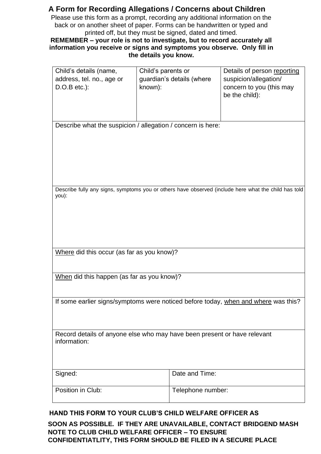## **A Form for Recording Allegations / Concerns about Children**

Please use this form as a prompt, recording any additional information on the back or on another sheet of paper. Forms can be handwritten or typed and printed off, but they must be signed, dated and timed.

## **REMEMBER – your role is not to investigate, but to record accurately all information you receive or signs and symptoms you observe. Only fill in the details you know.**

| Child's details (name,                                                                   | Child's parents or                                          | Details of person reporting                                                                          |
|------------------------------------------------------------------------------------------|-------------------------------------------------------------|------------------------------------------------------------------------------------------------------|
| address, tel. no., age or                                                                | guardian's details (where                                   | suspicion/allegation/                                                                                |
| $D.O.B$ etc.):                                                                           | known):                                                     | concern to you (this may                                                                             |
|                                                                                          |                                                             | be the child):                                                                                       |
|                                                                                          |                                                             |                                                                                                      |
|                                                                                          |                                                             |                                                                                                      |
|                                                                                          | Describe what the suspicion / allegation / concern is here: |                                                                                                      |
|                                                                                          |                                                             |                                                                                                      |
|                                                                                          |                                                             |                                                                                                      |
|                                                                                          |                                                             |                                                                                                      |
|                                                                                          |                                                             |                                                                                                      |
|                                                                                          |                                                             |                                                                                                      |
|                                                                                          |                                                             | Describe fully any signs, symptoms you or others have observed (include here what the child has told |
| you):                                                                                    |                                                             |                                                                                                      |
|                                                                                          |                                                             |                                                                                                      |
|                                                                                          |                                                             |                                                                                                      |
|                                                                                          |                                                             |                                                                                                      |
|                                                                                          |                                                             |                                                                                                      |
|                                                                                          |                                                             |                                                                                                      |
| Where did this occur (as far as you know)?                                               |                                                             |                                                                                                      |
|                                                                                          |                                                             |                                                                                                      |
| When did this happen (as far as you know)?                                               |                                                             |                                                                                                      |
|                                                                                          |                                                             |                                                                                                      |
|                                                                                          |                                                             |                                                                                                      |
| If some earlier signs/symptoms were noticed before today, when and where was this?       |                                                             |                                                                                                      |
|                                                                                          |                                                             |                                                                                                      |
|                                                                                          |                                                             |                                                                                                      |
|                                                                                          |                                                             |                                                                                                      |
| Record details of anyone else who may have been present or have relevant<br>information: |                                                             |                                                                                                      |
|                                                                                          |                                                             |                                                                                                      |
|                                                                                          |                                                             |                                                                                                      |
|                                                                                          |                                                             |                                                                                                      |
| Signed:                                                                                  | Date and Time:                                              |                                                                                                      |
| Position in Club:                                                                        | Telephone number:                                           |                                                                                                      |
|                                                                                          |                                                             |                                                                                                      |

## **HAND THIS FORM TO YOUR CLUB'S CHILD WELFARE OFFICER AS**

**SOON AS POSSIBLE. IF THEY ARE UNAVAILABLE, CONTACT BRIDGEND MASH NOTE TO CLUB CHILD WELFARE OFFICER – TO ENSURE CONFIDENTIATLITY, THIS FORM SHOULD BE FILED IN A SECURE PLACE**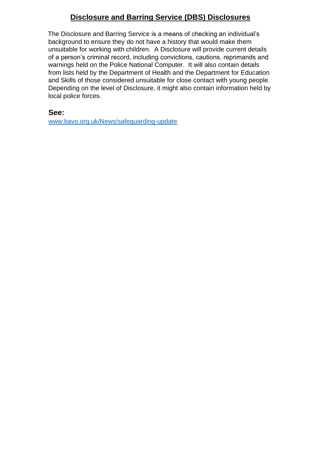# **Disclosure and Barring Service (DBS) Disclosures**

The Disclosure and Barring Service is a means of checking an individual's background to ensure they do not have a history that would make them unsuitable for working with children. A Disclosure will provide current details of a person's criminal record, including convictions, cautions, reprimands and warnings held on the Police National Computer. It will also contain details from lists held by the Department of Health and the Department for Education and Skills of those considered unsuitable for close contact with young people. Depending on the level of Disclosure, it might also contain information held by local police forces.

**See:**

[www.bavo.org.uk/News/safeguarding-update](file:///C:/Users/Steve%20Landeg/Desktop/WEBSITE/www.bavo.org.uk/News/safeguarding-update)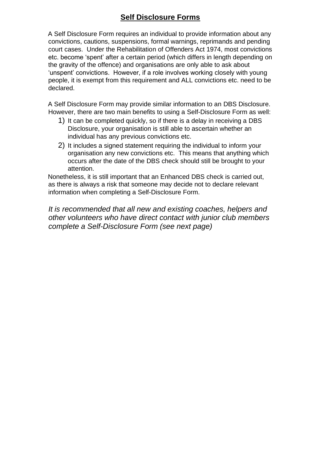## **Self Disclosure Forms**

A Self Disclosure Form requires an individual to provide information about any convictions, cautions, suspensions, formal warnings, reprimands and pending court cases. Under the Rehabilitation of Offenders Act 1974, most convictions etc. become 'spent' after a certain period (which differs in length depending on the gravity of the offence) and organisations are only able to ask about 'unspent' convictions. However, if a role involves working closely with young people, it is exempt from this requirement and ALL convictions etc. need to be declared.

A Self Disclosure Form may provide similar information to an DBS Disclosure. However, there are two main benefits to using a Self-Disclosure Form as well:

- 1) It can be completed quickly, so if there is a delay in receiving a DBS Disclosure, your organisation is still able to ascertain whether an individual has any previous convictions etc.
- 2) It includes a signed statement requiring the individual to inform your organisation any new convictions etc. This means that anything which occurs after the date of the DBS check should still be brought to your attention.

Nonetheless, it is still important that an Enhanced DBS check is carried out, as there is always a risk that someone may decide not to declare relevant information when completing a Self-Disclosure Form.

*It is recommended that all new and existing coaches, helpers and other volunteers who have direct contact with junior club members complete a Self-Disclosure Form (see next page)*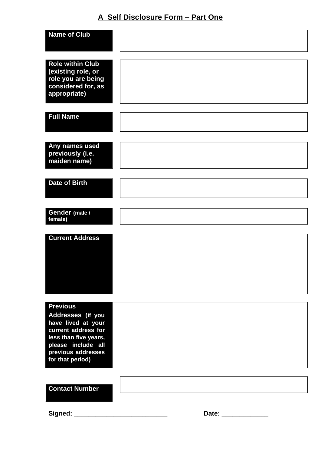# **A Self Disclosure Form – Part One**

| <b>Name of Club</b>     |              |
|-------------------------|--------------|
|                         |              |
|                         |              |
| <b>Role within Club</b> |              |
| (existing role, or      |              |
| role you are being      |              |
| considered for, as      |              |
| appropriate)            |              |
|                         |              |
|                         |              |
| <b>Full Name</b>        |              |
|                         |              |
|                         |              |
|                         |              |
| Any names used          |              |
| previously (i.e.        |              |
| maiden name)            |              |
|                         |              |
| <b>Date of Birth</b>    |              |
|                         |              |
|                         |              |
|                         |              |
| Gender (male /          |              |
| female)                 |              |
|                         |              |
|                         |              |
| <b>Current Address</b>  |              |
|                         |              |
|                         |              |
|                         |              |
|                         |              |
|                         |              |
|                         |              |
|                         |              |
|                         |              |
| <b>Previous</b>         |              |
| Addresses (if you       |              |
| have lived at your      |              |
| current address for     |              |
| less than five years,   |              |
| please include all      |              |
| previous addresses      |              |
| for that period)        |              |
|                         |              |
|                         |              |
|                         |              |
| <b>Contact Number</b>   |              |
|                         |              |
|                         |              |
| Signed:                 | Date: $\_\_$ |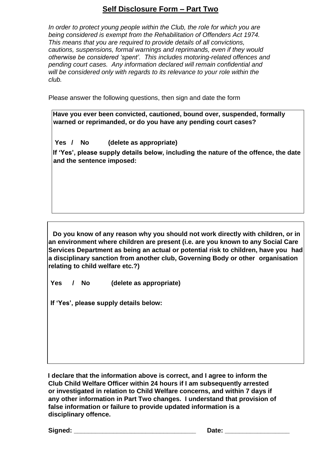## **Self Disclosure Form – Part Two**

*In order to protect young people within the Club, the role for which you are being considered is exempt from the Rehabilitation of Offenders Act 1974. This means that you are required to provide details of all convictions, cautions, suspensions, formal warnings and reprimands, even if they would otherwise be considered 'spent'. This includes motoring-related offences and pending court cases. Any information declared will remain confidential and will be considered only with regards to its relevance to your role within the club.* 

Please answer the following questions, then sign and date the form

| Have you ever been convicted, cautioned, bound over, suspended, formally<br>warned or reprimanded, or do you have any pending court cases? |                         |  |  |
|--------------------------------------------------------------------------------------------------------------------------------------------|-------------------------|--|--|
| Yes<br><b>No</b>                                                                                                                           | (delete as appropriate) |  |  |

**If 'Yes', please supply details below, including the nature of the offence, the date and the sentence imposed:**

**Do you know of any reason why you should not work directly with children, or in an environment where children are present (i.e. are you known to any Social Care Services Department as being an actual or potential risk to children, have you had a disciplinary sanction from another club, Governing Body or other organisation relating to child welfare etc.?)** 

**Yes / No (delete as appropriate)** 

**If 'Yes', please supply details below:**

**I declare that the information above is correct, and I agree to inform the Club Child Welfare Officer within 24 hours if I am subsequently arrested or investigated in relation to Child Welfare concerns, and within 7 days if any other information in Part Two changes. I understand that provision of false information or failure to provide updated information is a disciplinary offence.** 

Signed: **Contained: Signed: Contained: Contained: Contained: Contained: Contained: Contained: Contained: Contained: Contained: Contained: Contained: Contained: Contained: Contained: Containe**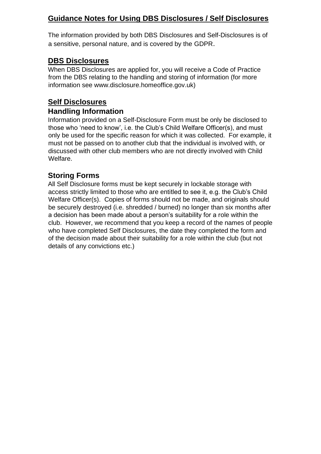# **Guidance Notes for Using DBS Disclosures / Self Disclosures**

The information provided by both DBS Disclosures and Self-Disclosures is of a sensitive, personal nature, and is covered by the GDPR.

## **DBS Disclosures**

When DBS Disclosures are applied for, you will receive a Code of Practice from the DBS relating to the handling and storing of information (for more information see www.disclosure.homeoffice.gov.uk)

# **Self Disclosures**

## **Handling Information**

Information provided on a Self-Disclosure Form must be only be disclosed to those who 'need to know', i.e. the Club's Child Welfare Officer(s), and must only be used for the specific reason for which it was collected. For example, it must not be passed on to another club that the individual is involved with, or discussed with other club members who are not directly involved with Child Welfare.

## **Storing Forms**

All Self Disclosure forms must be kept securely in lockable storage with access strictly limited to those who are entitled to see it, e.g. the Club's Child Welfare Officer(s). Copies of forms should not be made, and originals should be securely destroyed (i.e. shredded / burned) no longer than six months after a decision has been made about a person's suitability for a role within the club. However, we recommend that you keep a record of the names of people who have completed Self Disclosures, the date they completed the form and of the decision made about their suitability for a role within the club (but not details of any convictions etc.)